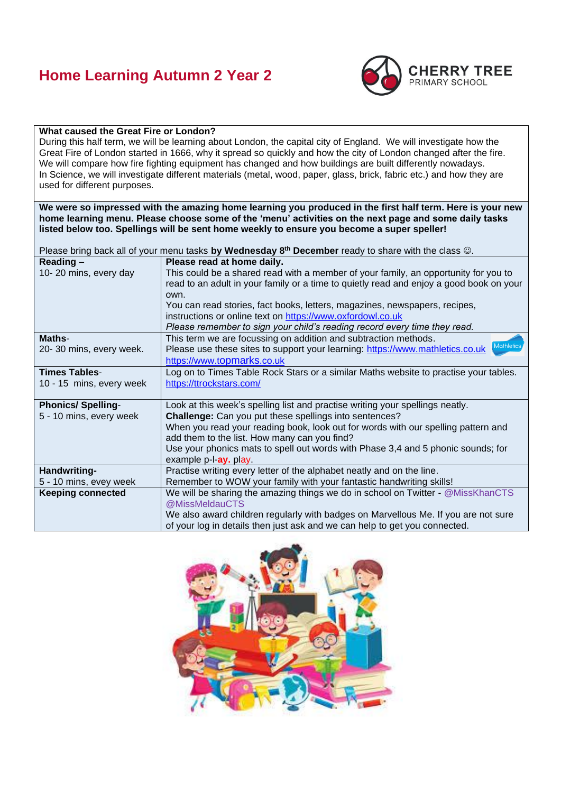## **Home Learning Autumn 2 Year 2**



### **What caused the Great Fire or London?**

During this half term, we will be learning about London, the capital city of England. We will investigate how the Great Fire of London started in 1666, why it spread so quickly and how the city of London changed after the fire. We will compare how fire fighting equipment has changed and how buildings are built differently nowadays. In Science, we will investigate different materials (metal, wood, paper, glass, brick, fabric etc.) and how they are used for different purposes.

**We were so impressed with the amazing home learning you produced in the first half term. Here is your new home learning menu. Please choose some of the 'menu' activities on the next page and some daily tasks listed below too. Spellings will be sent home weekly to ensure you become a super speller!**

|                          | Please bring back all of your menu tasks by Wednesday 8 <sup>th</sup> December ready to share with the class $\circledcirc$ . |  |
|--------------------------|-------------------------------------------------------------------------------------------------------------------------------|--|
| Reading $-$              | Please read at home daily.                                                                                                    |  |
| 10-20 mins, every day    | This could be a shared read with a member of your family, an opportunity for you to                                           |  |
|                          | read to an adult in your family or a time to quietly read and enjoy a good book on your                                       |  |
|                          | own.                                                                                                                          |  |
|                          | You can read stories, fact books, letters, magazines, newspapers, recipes,                                                    |  |
|                          | instructions or online text on https://www.oxfordowl.co.uk                                                                    |  |
|                          | Please remember to sign your child's reading record every time they read.                                                     |  |
| Maths-                   | This term we are focussing on addition and subtraction methods.                                                               |  |
| 20-30 mins, every week.  | Mathletics<br>Please use these sites to support your learning: https://www.mathletics.co.uk                                   |  |
|                          | https://www.topmarks.co.uk                                                                                                    |  |
| <b>Times Tables-</b>     | Log on to Times Table Rock Stars or a similar Maths website to practise your tables.                                          |  |
| 10 - 15 mins, every week | https://ttrockstars.com/                                                                                                      |  |
|                          |                                                                                                                               |  |
| <b>Phonics/Spelling-</b> | Look at this week's spelling list and practise writing your spellings neatly.                                                 |  |
| 5 - 10 mins, every week  | <b>Challenge:</b> Can you put these spellings into sentences?                                                                 |  |
|                          | When you read your reading book, look out for words with our spelling pattern and                                             |  |
|                          | add them to the list. How many can you find?                                                                                  |  |
|                          | Use your phonics mats to spell out words with Phase 3,4 and 5 phonic sounds; for                                              |  |
|                          | example p-l-ay. play.                                                                                                         |  |
| Handwriting-             | Practise writing every letter of the alphabet neatly and on the line.                                                         |  |
| 5 - 10 mins, evey week   | Remember to WOW your family with your fantastic handwriting skills!                                                           |  |
| <b>Keeping connected</b> | We will be sharing the amazing things we do in school on Twitter - @MissKhanCTS                                               |  |
|                          | @MissMeldauCTS                                                                                                                |  |
|                          | We also award children regularly with badges on Marvellous Me. If you are not sure                                            |  |
|                          | of your log in details then just ask and we can help to get you connected.                                                    |  |

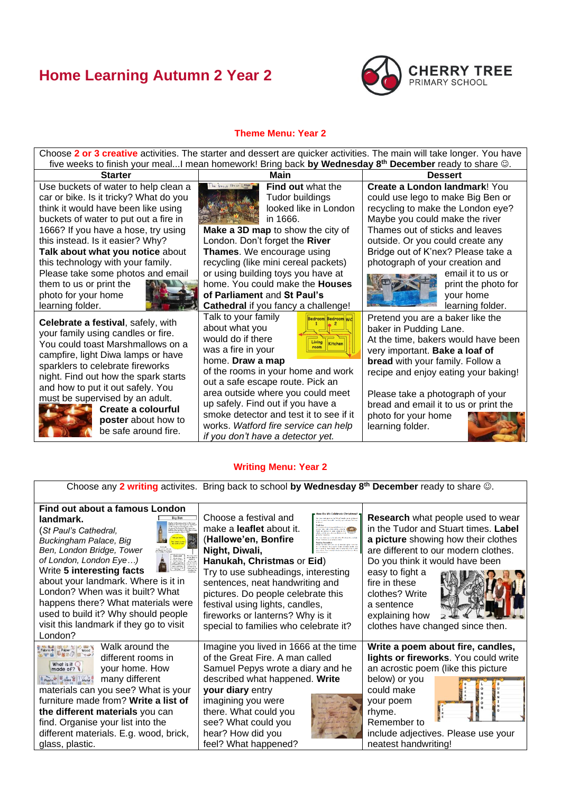# **Home Learning Autumn 2 Year 2**



### **Theme Menu: Year 2**

Choose **2 or 3 creative** activities. The starter and dessert are quicker activities. The main will take longer. You have five weeks to finish your meal...I mean homework! Bring back **by Wednesday 8th December** ready to share ☺.

Use buckets of water to help clean a car or bike. Is it tricky? What do you think it would have been like using buckets of water to put out a fire in 1666? If you have a hose, try using this instead. Is it easier? Why? **Talk about what you notice** about this technology with your family. Please take some photos and email

them to us or print the photo for your home learning folder.



**Celebrate a festival**, safely, with your family using candles or fire. You could toast Marshmallows on a campfire, light Diwa lamps or have sparklers to celebrate fireworks night. Find out how the spark starts and how to put it out safely. You must be supervised by an adult.



**Create a colourful poster** about how to be safe around fire.



**Find out** what the Tudor buildings looked like in London in 1666.

**Make a 3D map** to show the city of London. Don't forget the **River Thames**. We encourage using recycling (like mini cereal packets) or using building toys you have at home. You could make the **Houses of Parliament** and **St Paul's** 

**Cathedral** if you fancy a challenge!

Talk to your family about what you would do if there was a fire in your home. **Draw a map** 



of the rooms in your home and work out a safe escape route. Pick an area outside where you could meet up safely. Find out if you have a smoke detector and test it to see if it works. *Watford fire service can help if you don't have a detector yet.*

**Starter Main Dessert Create a London landmark**! You could use lego to make Big Ben or recycling to make the London eye? Maybe you could make the river Thames out of sticks and leaves outside. Or you could create any Bridge out of K'nex? Please take a photograph of your creation and



email it to us or print the photo for your home learning folder.

Pretend you are a baker like the baker in Pudding Lane. At the time, bakers would have been very important. **Bake a loaf of bread** with your family. Follow a recipe and enjoy eating your baking!

Please take a photograph of your bread and email it to us or print the photo for your home learning folder.



#### **Writing Menu: Year 2**

Choose any **2 writing** activites. Bring back to school **by Wednesday 8th December** ready to share ☺.

**Find out about a famous London landmark.**

(*St Paul's Cathedral, Buckingham Palace, Big Ben, London Bridge, Tower of London, London Eye…)* Write **5 interesting facts**



about your landmark. Where is it in London? When was it built? What happens there? What materials were used to build it? Why should people visit this landmark if they go to visit



materials can you see? What is your furniture made from? **Write a list of the different materials** you can find. Organise your list into the different materials. E.g. wood, brick, glass, plastic.

Choose a festival and make a **leaflet** about it. (**Hallowe'en, Bonfire Night, Diwali, Hanukah, Christmas** or **Eid**)

Try to use subheadings, interesting sentences, neat handwriting and pictures. Do people celebrate this festival using lights, candles, fireworks or lanterns? Why is it special to families who celebrate it?

Imagine you lived in 1666 at the time of the Great Fire. A man called Samuel Pepys wrote a diary and he described what happened. **Write your diary** entry

imagining you were there. What could you see? What could you hear? How did you feel? What happened?



**Research** what people used to wear in the Tudor and Stuart times. **Label a picture** showing how their clothes are different to our modern clothes. Do you think it would have been

easy to fight a fire in these clothes? Write a sentence explaining how



clothes have changed since then.

**Write a poem about fire, candles, lights or fireworks**. You could write an acrostic poem (like this picture

below) or you could make your poem rhyme. Remember to

|  | B |
|--|---|
|  | ū |
|  |   |
|  |   |
|  |   |
|  |   |
|  |   |
|  |   |
|  |   |

include adjectives. Please use your neatest handwriting!